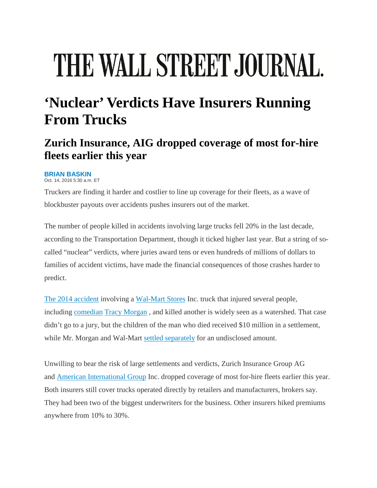# THE WALL STREET JOURNAL.

## **'Nuclear' Verdicts Have Insurers Running From Trucks**

### **Zurich Insurance, AIG dropped coverage of most for-hire fleets earlier this year**

#### **BRIAN BASKIN**

Oct. 14, 2016 5:30 a.m. ET

Truckers are finding it harder and costlier to line up coverage for their fleets, as a wave of blockbuster payouts over accidents pushes insurers out of the market.

The number of people killed in accidents involving large trucks fell 20% in the last decade, according to the Transportation Department, though it ticked higher last year. But a string of socalled "nuclear" verdicts, where juries award tens or even hundreds of millions of dollars to families of accident victims, have made the financial consequences of those crashes harder to predict.

[The 2014 accident](http://www.wsj.com/articles/driver-hours-under-review-in-crash-that-involved-tracy-morgan-1402364293) involving a [Wal-Mart Stores](http://quotes.wsj.com/WMT) Inc. truck that injured several people, including comedian [Tracy Morgan](http://blogs.wsj.com/speakeasy/2014/11/19/tracey-morgan-brain-injury/) , and killed another is widely seen as a watershed. That case didn't go to a jury, but the children of the man who died received \$10 million in a settlement, while Mr. Morgan and Wal-Mart [settled separately](http://www.wsj.com/articles/wal-mart-reaches-settlement-with-tracy-morgan-terms-not-disclosed-1432757539) for an undisclosed amount.

Unwilling to bear the risk of large settlements and verdicts, Zurich Insurance Group AG and [American International Group](http://quotes.wsj.com/AIG) Inc. dropped coverage of most for-hire fleets earlier this year. Both insurers still cover trucks operated directly by retailers and manufacturers, brokers say. They had been two of the biggest underwriters for the business. Other insurers hiked premiums anywhere from 10% to 30%.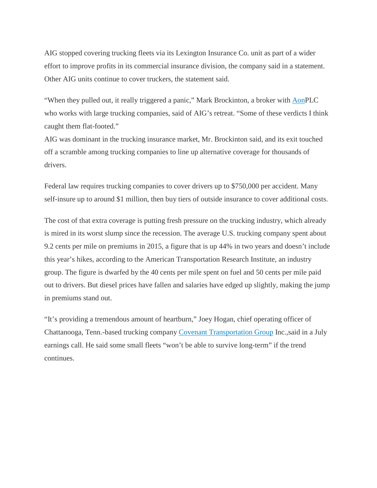AIG stopped covering trucking fleets via its Lexington Insurance Co. unit as part of a wider effort to improve profits in its commercial insurance division, the company said in a statement. Other AIG units continue to cover truckers, the statement said.

"When they pulled out, it really triggered a panic," Mark Brockinton, a broker with [AonP](http://quotes.wsj.com/AON)LC who works with large trucking companies, said of AIG's retreat. "Some of these verdicts I think caught them flat-footed."

AIG was dominant in the trucking insurance market, Mr. Brockinton said, and its exit touched off a scramble among trucking companies to line up alternative coverage for thousands of drivers.

Federal law requires trucking companies to cover drivers up to \$750,000 per accident. Many self-insure up to around \$1 million, then buy tiers of outside insurance to cover additional costs.

The cost of that extra coverage is putting fresh pressure on the trucking industry, which already is mired in its worst slump since the recession. The average U.S. trucking company spent about 9.2 cents per mile on premiums in 2015, a figure that is up 44% in two years and doesn't include this year's hikes, according to the American Transportation Research Institute, an industry group. The figure is dwarfed by the 40 cents per mile spent on fuel and 50 cents per mile paid out to drivers. But diesel prices have fallen and salaries have edged up slightly, making the jump in premiums stand out.

"It's providing a tremendous amount of heartburn," Joey Hogan, chief operating officer of Chattanooga, Tenn.-based trucking company [Covenant Transportation Group](http://quotes.wsj.com/CVTI) Inc.,said in a July earnings call. He said some small fleets "won't be able to survive long-term" if the trend continues.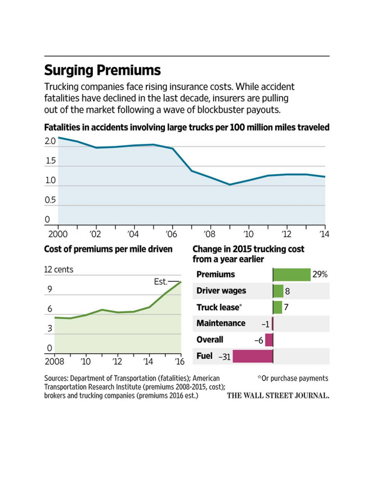## **Surging Premiums**

Trucking companies face rising insurance costs. While accident fatalities have declined in the last decade, insurers are pulling out of the market following a wave of blockbuster payouts.



Fatalities in accidents involving large trucks per 100 million miles traveled

Sources: Department of Transportation (fatalities); American \*Or purchase payments Transportation Research Institute (premiums 2008-2015, cost); brokers and trucking companies (premiums 2016 est.) THE WALL STREET JOURNAL.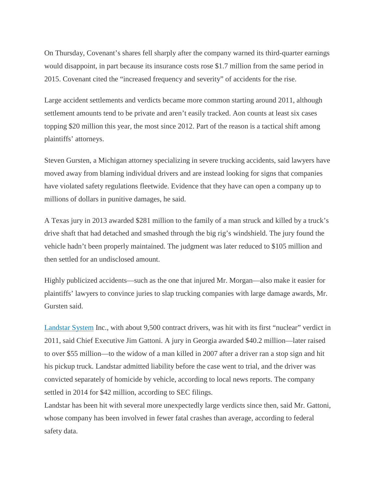On Thursday, Covenant's shares fell sharply after the company warned its third-quarter earnings would disappoint, in part because its insurance costs rose \$1.7 million from the same period in 2015. Covenant cited the "increased frequency and severity" of accidents for the rise.

Large accident settlements and verdicts became more common starting around 2011, although settlement amounts tend to be private and aren't easily tracked. Aon counts at least six cases topping \$20 million this year, the most since 2012. Part of the reason is a tactical shift among plaintiffs' attorneys.

Steven Gursten, a Michigan attorney specializing in severe trucking accidents, said lawyers have moved away from blaming individual drivers and are instead looking for signs that companies have violated safety regulations fleetwide. Evidence that they have can open a company up to millions of dollars in punitive damages, he said.

A Texas jury in 2013 awarded \$281 million to the family of a man struck and killed by a truck's drive shaft that had detached and smashed through the big rig's windshield. The jury found the vehicle hadn't been properly maintained. The judgment was later reduced to \$105 million and then settled for an undisclosed amount.

Highly publicized accidents—such as the one that injured Mr. Morgan—also make it easier for plaintiffs' lawyers to convince juries to slap trucking companies with large damage awards, Mr. Gursten said.

[Landstar System](http://quotes.wsj.com/LSTR) Inc., with about 9,500 contract drivers, was hit with its first "nuclear" verdict in 2011, said Chief Executive Jim Gattoni. A jury in Georgia awarded \$40.2 million—later raised to over \$55 million—to the widow of a man killed in 2007 after a driver ran a stop sign and hit his pickup truck. Landstar admitted liability before the case went to trial, and the driver was convicted separately of homicide by vehicle, according to local news reports. The company settled in 2014 for \$42 million, according to SEC filings.

Landstar has been hit with several more unexpectedly large verdicts since then, said Mr. Gattoni, whose company has been involved in fewer fatal crashes than average, according to federal safety data.